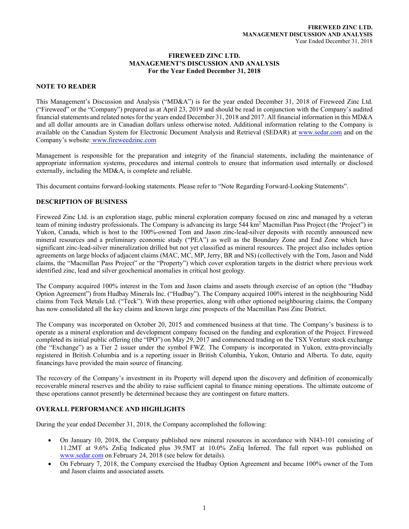#### **FIREWEED ZINC LTD. MANAGEMENT'S DISCUSSION AND ANALYSIS For the Year Ended December 31, 2018**

## **NOTE TO READER**

This Management's Discussion and Analysis ("MD&A") is for the year ended December 31, 2018 of Fireweed Zinc Ltd. ("Fireweed" or the "Company") prepared as at April 23, 2019 and should be read in conjunction with the Company's audited financial statements and related notes for the years ended December 31, 2018 and 2017. All financial information in this MD&A and all dollar amounts are in Canadian dollars unless otherwise noted. Additional information relating to the Company is available on the Canadian System for Electronic Document Analysis and Retrieval (SEDAR) at www.sedar.com and on the Company's website: www.fireweedzinc.com

Management is responsible for the preparation and integrity of the financial statements, including the maintenance of appropriate information systems, procedures and internal controls to ensure that information used internally or disclosed externally, including the MD&A, is complete and reliable.

This document contains forward-looking statements. Please refer to "Note Regarding Forward-Looking Statements".

#### **DESCRIPTION OF BUSINESS**

Fireweed Zinc Ltd. is an exploration stage, public mineral exploration company focused on zinc and managed by a veteran team of mining industry professionals. The Company is advancing its large 544 km<sup>2</sup> Macmillan Pass Project (the 'Project'') in Yukon, Canada, which is host to the 100%-owned Tom and Jason zinc-lead-silver deposits with recently announced new mineral resources and a preliminary economic study ("PEA") as well as the Boundary Zone and End Zone which have significant zinc-lead-silver mineralization drilled but not yet classified as mineral resources. The project also includes option agreements on large blocks of adjacent claims (MAC, MC, MP, Jerry, BR and NS) (collectively with the Tom, Jason and Nidd claims, the "Macmillan Pass Project" or the "Property") which cover exploration targets in the district where previous work identified zinc, lead and silver geochemical anomalies in critical host geology.

The Company acquired 100% interest in the Tom and Jason claims and assets through exercise of an option (the "Hudbay Option Agreement") from Hudbay Minerals Inc. ("Hudbay"). The Company acquired 100% interest in the neighbouring Nidd claims from Teck Metals Ltd. ("Teck"). With these properties, along with other optioned neighbouring claims, the Company has now consolidated all the key claims and known large zinc prospects of the Macmillan Pass Zinc District.

The Company was incorporated on October 20, 2015 and commenced business at that time. The Company's business is to operate as a mineral exploration and development company focused on the funding and exploration of the Project. Fireweed completed its initial public offering (the "IPO") on May 29, 2017 and commenced trading on the TSX Venture stock exchange (the "Exchange") as a Tier 2 issuer under the symbol FWZ. The Company is incorporated in Yukon, extra-provincially registered in British Columbia and is a reporting issuer in British Columbia, Yukon, Ontario and Alberta. To date, equity financings have provided the main source of financing.

The recovery of the Company's investment in its Property will depend upon the discovery and definition of economically recoverable mineral reserves and the ability to raise sufficient capital to finance mining operations. The ultimate outcome of these operations cannot presently be determined because they are contingent on future matters.

# **OVERALL PERFORMANCE AND HIGHLIGHTS**

During the year ended December 31, 2018, the Company accomplished the following:

- On January 10, 2018, the Company published new mineral resources in accordance with NI43-101 consisting of 11.2MT at 9.6% ZnEq Indicated plus 39.5MT at 10.0% ZnEq Inferred. The full report was published on www.sedar.com on February 24, 2018 (see below for details).
- On February 7, 2018, the Company exercised the Hudbay Option Agreement and became 100% owner of the Tom and Jason claims and associated assets.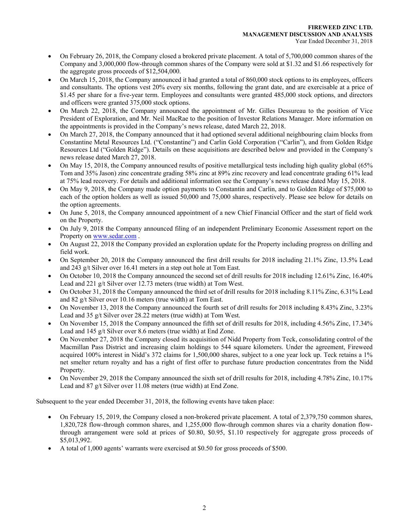- On February 26, 2018, the Company closed a brokered private placement. A total of 5,700,000 common shares of the Company and 3,000,000 flow-through common shares of the Company were sold at \$1.32 and \$1.66 respectively for the aggregate gross proceeds of \$12,504,000.
- On March 15, 2018, the Company announced it had granted a total of 860,000 stock options to its employees, officers and consultants. The options vest 20% every six months, following the grant date, and are exercisable at a price of \$1.45 per share for a five-year term. Employees and consultants were granted 485,000 stock options, and directors and officers were granted 375,000 stock options.
- On March 22, 2018, the Company announced the appointment of Mr. Gilles Dessureau to the position of Vice President of Exploration, and Mr. Neil MacRae to the position of Investor Relations Manager. More information on the appointments is provided in the Company's news release, dated March 22, 2018.
- On March 27, 2018, the Company announced that it had optioned several additional neighbouring claim blocks from Constantine Metal Resources Ltd. ("Constantine") and Carlin Gold Corporation ("Carlin"), and from Golden Ridge Resources Ltd ("Golden Ridge"). Details on these acquisitions are described below and provided in the Company's news release dated March 27, 2018.
- On May 15, 2018, the Company announced results of positive metallurgical tests including high quality global (65% Tom and 35% Jason) zinc concentrate grading 58% zinc at 89% zinc recovery and lead concentrate grading 61% lead at 75% lead recovery. For details and additional information see the Company's news release dated May 15, 2018.
- On May 9, 2018, the Company made option payments to Constantin and Carlin, and to Golden Ridge of \$75,000 to each of the option holders as well as issued 50,000 and 75,000 shares, respectively. Please see below for details on the option agreements.
- On June 5, 2018, the Company announced appointment of a new Chief Financial Officer and the start of field work on the Property.
- On July 9, 2018 the Company announced filing of an independent Preliminary Economic Assessment report on the Property on www.sedar.com .
- On August 22, 2018 the Company provided an exploration update for the Property including progress on drilling and field work.
- On September 20, 2018 the Company announced the first drill results for 2018 including 21.1% Zinc, 13.5% Lead and 243 g/t Silver over 16.41 meters in a step out hole at Tom East.
- On October 10, 2018 the Company announced the second set of drill results for 2018 including 12.61% Zinc, 16.40% Lead and 221 g/t Silver over 12.73 meters (true width) at Tom West.
- On October 31, 2018 the Company announced the third set of drill results for 2018 including 8.11% Zinc, 6.31% Lead and 82 g/t Silver over 10.16 meters (true width) at Tom East.
- On November 13, 2018 the Company announced the fourth set of drill results for 2018 including 8.43% Zinc, 3.23% Lead and 35 g/t Silver over 28.22 meters (true width) at Tom West.
- On November 15, 2018 the Company announced the fifth set of drill results for 2018, including 4.56% Zinc, 17.34% Lead and 145 g/t Silver over 8.6 meters (true width) at End Zone.
- On November 27, 2018 the Company closed its acquisition of Nidd Property from Teck, consolidating control of the Macmillan Pass District and increasing claim holdings to 544 square kilometers. Under the agreement, Fireweed acquired 100% interest in Nidd's 372 claims for 1,500,000 shares, subject to a one year lock up. Teck retains a 1% net smelter return royalty and has a right of first offer to purchase future production concentrates from the Nidd Property.
- On November 29, 2018 the Company announced the sixth set of drill results for 2018, including 4.78% Zinc, 10.17% Lead and 87 g/t Silver over 11.08 meters (true width) at End Zone.

Subsequent to the year ended December 31, 2018, the following events have taken place:

- On February 15, 2019, the Company closed a non-brokered private placement. A total of 2,379,750 common shares, 1,820,728 flow-through common shares, and 1,255,000 flow-through common shares via a charity donation flowthrough arrangement were sold at prices of \$0.80, \$0.95, \$1.10 respectively for aggregate gross proceeds of \$5,013,992.
- A total of 1,000 agents' warrants were exercised at \$0.50 for gross proceeds of \$500.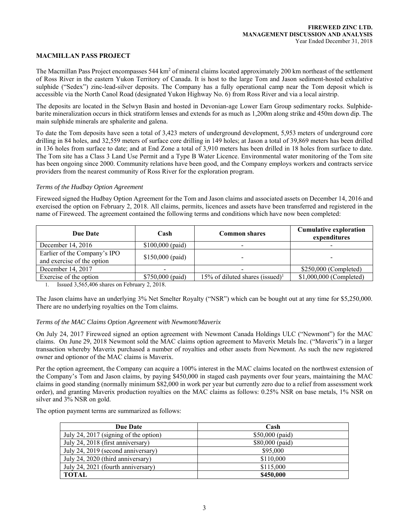#### **MACMILLAN PASS PROJECT**

The Macmillan Pass Project encompasses 544 km<sup>2</sup> of mineral claims located approximately 200 km northeast of the settlement of Ross River in the eastern Yukon Territory of Canada. It is host to the large Tom and Jason sediment-hosted exhalative sulphide ("Sedex") zinc-lead-silver deposits. The Company has a fully operational camp near the Tom deposit which is accessible via the North Canol Road (designated Yukon Highway No. 6) from Ross River and via a local airstrip.

The deposits are located in the Selwyn Basin and hosted in Devonian-age Lower Earn Group sedimentary rocks. Sulphidebarite mineralization occurs in thick stratiform lenses and extends for as much as 1,200m along strike and 450m down dip. The main sulphide minerals are sphalerite and galena.

To date the Tom deposits have seen a total of 3,423 meters of underground development, 5,953 meters of underground core drilling in 84 holes, and 32,559 meters of surface core drilling in 149 holes; at Jason a total of 39,869 meters has been drilled in 136 holes from surface to date; and at End Zone a total of 3,910 meters has been drilled in 18 holes from surface to date. The Tom site has a Class 3 Land Use Permit and a Type B Water Licence. Environmental water monitoring of the Tom site has been ongoing since 2000. Community relations have been good, and the Company employs workers and contracts service providers from the nearest community of Ross River for the exploration program.

#### *Terms of the Hudbay Option Agreement*

Fireweed signed the Hudbay Option Agreement for the Tom and Jason claims and associated assets on December 14, 2016 and exercised the option on February 2, 2018. All claims, permits, licences and assets have been transferred and registered in the name of Fireweed. The agreement contained the following terms and conditions which have now been completed:

| <b>Due Date</b>                                            | Cash              | <b>Common shares</b>                        | <b>Cumulative exploration</b><br>expenditures |  |
|------------------------------------------------------------|-------------------|---------------------------------------------|-----------------------------------------------|--|
| December 14, 2016                                          | $$100,000$ (paid) |                                             |                                               |  |
| Earlier of the Company's IPO<br>and exercise of the option | $$150,000$ (paid) |                                             | -                                             |  |
| December 14, 2017                                          |                   |                                             | \$250,000 (Completed)                         |  |
| Exercise of the option                                     | $$750,000$ (paid) | 15% of diluted shares (issued) <sup>1</sup> | \$1,000,000 (Completed)                       |  |

1. Issued 3,565,406 shares on February 2, 2018.

The Jason claims have an underlying 3% Net Smelter Royalty ("NSR") which can be bought out at any time for \$5,250,000. There are no underlying royalties on the Tom claims.

#### *Terms of the MAC Claims Option Agreement with Newmont/Maverix*

On July 24, 2017 Fireweed signed an option agreement with Newmont Canada Holdings ULC ("Newmont") for the MAC claims. On June 29, 2018 Newmont sold the MAC claims option agreement to Maverix Metals Inc. ("Maverix") in a larger transaction whereby Maverix purchased a number of royalties and other assets from Newmont. As such the new registered owner and optionor of the MAC claims is Maverix.

Per the option agreement, the Company can acquire a 100% interest in the MAC claims located on the northwest extension of the Company's Tom and Jason claims, by paying \$450,000 in staged cash payments over four years, maintaining the MAC claims in good standing (normally minimum \$82,000 in work per year but currently zero due to a relief from assessment work order), and granting Maverix production royalties on the MAC claims as follows: 0.25% NSR on base metals, 1% NSR on silver and 3% NSR on gold.

The option payment terms are summarized as follows:

| <b>Due Date</b>                       | Cash             |
|---------------------------------------|------------------|
| July 24, 2017 (signing of the option) | $$50,000$ (paid) |
| July 24, 2018 (first anniversary)     | \$80,000 (paid)  |
| July 24, 2019 (second anniversary)    | \$95,000         |
| July 24, 2020 (third anniversary)     | \$110,000        |
| July 24, 2021 (fourth anniversary)    | \$115,000        |
| TOTAL                                 | \$450,000        |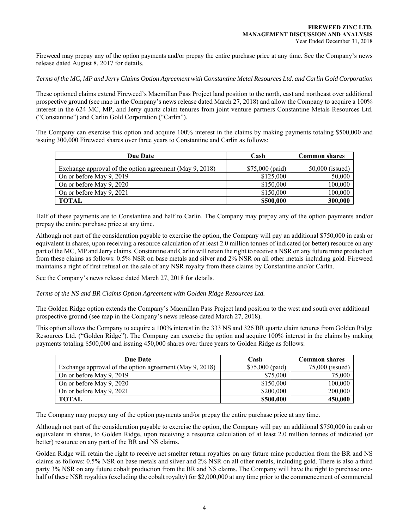Fireweed may prepay any of the option payments and/or prepay the entire purchase price at any time. See the Company's news release dated August 8, 2017 for details.

## *Terms of the MC, MP and Jerry Claims Option Agreement with Constantine Metal Resources Ltd. and Carlin Gold Corporation*

These optioned claims extend Fireweed's Macmillan Pass Project land position to the north, east and northeast over additional prospective ground (see map in the Company's news release dated March 27, 2018) and allow the Company to acquire a 100% interest in the 624 MC, MP, and Jerry quartz claim tenures from joint venture partners Constantine Metals Resources Ltd. ("Constantine") and Carlin Gold Corporation ("Carlin").

The Company can exercise this option and acquire 100% interest in the claims by making payments totaling \$500,000 and issuing 300,000 Fireweed shares over three years to Constantine and Carlin as follows:

| <b>Due Date</b>                                         | Cash            | <b>Common shares</b> |
|---------------------------------------------------------|-----------------|----------------------|
| Exchange approval of the option agreement (May 9, 2018) | \$75,000 (paid) | $50,000$ (issued)    |
| On or before May 9, 2019                                | \$125,000       | 50,000               |
| On or before May 9, 2020                                | \$150,000       | 100,000              |
| On or before May 9, 2021                                | \$150,000       | 100,000              |
| <b>TOTAL</b>                                            | \$500,000       | 300,000              |

Half of these payments are to Constantine and half to Carlin. The Company may prepay any of the option payments and/or prepay the entire purchase price at any time.

Although not part of the consideration payable to exercise the option, the Company will pay an additional \$750,000 in cash or equivalent in shares, upon receiving a resource calculation of at least 2.0 million tonnes of indicated (or better) resource on any part of the MC, MP and Jerry claims. Constantine and Carlin will retain the right to receive a NSR on any future mine production from these claims as follows: 0.5% NSR on base metals and silver and 2% NSR on all other metals including gold. Fireweed maintains a right of first refusal on the sale of any NSR royalty from these claims by Constantine and/or Carlin.

See the Company's news release dated March 27, 2018 for details.

*Terms of the NS and BR Claims Option Agreement with Golden Ridge Resources Ltd.* 

The Golden Ridge option extends the Company's Macmillan Pass Project land position to the west and south over additional prospective ground (see map in the Company's news release dated March 27, 2018).

This option allows the Company to acquire a 100% interest in the 333 NS and 326 BR quartz claim tenures from Golden Ridge Resources Ltd. ("Golden Ridge"). The Company can exercise the option and acquire 100% interest in the claims by making payments totaling \$500,000 and issuing 450,000 shares over three years to Golden Ridge as follows:

| Due Date                                                | Cash             | <b>Common shares</b> |
|---------------------------------------------------------|------------------|----------------------|
| Exchange approval of the option agreement (May 9, 2018) | $$75,000$ (paid) | 75,000 (issued)      |
| On or before May 9, 2019                                | \$75,000         | 75,000               |
| On or before May 9, 2020                                | \$150,000        | 100,000              |
| On or before May 9, 2021                                | \$200,000        | 200,000              |
| <b>TOTAL</b>                                            | \$500,000        | 450,000              |

The Company may prepay any of the option payments and/or prepay the entire purchase price at any time.

Although not part of the consideration payable to exercise the option, the Company will pay an additional \$750,000 in cash or equivalent in shares, to Golden Ridge, upon receiving a resource calculation of at least 2.0 million tonnes of indicated (or better) resource on any part of the BR and NS claims.

Golden Ridge will retain the right to receive net smelter return royalties on any future mine production from the BR and NS claims as follows: 0.5% NSR on base metals and silver and 2% NSR on all other metals, including gold. There is also a third party 3% NSR on any future cobalt production from the BR and NS claims. The Company will have the right to purchase onehalf of these NSR royalties (excluding the cobalt royalty) for \$2,000,000 at any time prior to the commencement of commercial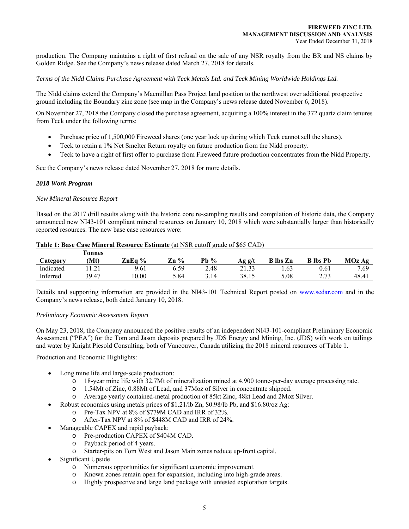production. The Company maintains a right of first refusal on the sale of any NSR royalty from the BR and NS claims by Golden Ridge. See the Company's news release dated March 27, 2018 for details.

*Terms of the Nidd Claims Purchase Agreement with Teck Metals Ltd. and Teck Mining Worldwide Holdings Ltd.* 

The Nidd claims extend the Company's Macmillan Pass Project land position to the northwest over additional prospective ground including the Boundary zinc zone (see map in the Company's news release dated November 6, 2018).

On November 27, 2018 the Company closed the purchase agreement, acquiring a 100% interest in the 372 quartz claim tenures from Teck under the following terms:

- Purchase price of 1,500,000 Fireweed shares (one year lock up during which Teck cannot sell the shares).
- Teck to retain a 1% Net Smelter Return royalty on future production from the Nidd property.
- Teck to have a right of first offer to purchase from Fireweed future production concentrates from the Nidd Property.

See the Company's news release dated November 27, 2018 for more details.

## *2018 Work Program*

#### *New Mineral Resource Report*

Based on the 2017 drill results along with the historic core re-sampling results and compilation of historic data, the Company announced new NI43-101 compliant mineral resources on January 10, 2018 which were substantially larger than historically reported resources. The new base case resources were:

|                 | l'onnes               |        |      |        |        |                 |                 |        |
|-----------------|-----------------------|--------|------|--------|--------|-----------------|-----------------|--------|
| <b>Category</b> | (Mt)                  | ZnEa % | Zn % | Pb $%$ | Ag g/t | <b>B</b> lbs Zn | <b>B</b> lbs Pb | MOz Ag |
| Indicated       | $1 \Omega$<br>1 . Z 1 | 9.61   | 6.59 | 2.48   | 21.33  | 1.63            | 0.61            | 7.69   |
| Inferred        | 39.47                 | 0.00   | 5.84 | 3.14   | 38.15  | 5.08            | າ 72<br>د ، ، ، | 48.41  |

#### **Table 1: Base Case Mineral Resource Estimate** (at NSR cutoff grade of \$65 CAD)

Details and supporting information are provided in the NI43-101 Technical Report posted on www.sedar.com and in the Company's news release, both dated January 10, 2018.

#### *Preliminary Economic Assessment Report*

On May 23, 2018, the Company announced the positive results of an independent NI43-101-compliant Preliminary Economic Assessment ("PEA") for the Tom and Jason deposits prepared by JDS Energy and Mining, Inc. (JDS) with work on tailings and water by Knight Piesold Consulting, both of Vancouver, Canada utilizing the 2018 mineral resources of Table 1.

Production and Economic Highlights:

- Long mine life and large-scale production:
	- o 18-year mine life with 32.7Mt of mineralization mined at 4,900 tonne-per-day average processing rate.
	- o 1.54Mt of Zinc, 0.88Mt of Lead, and 37Moz of Silver in concentrate shipped.
	- o Average yearly contained-metal production of 85kt Zinc, 48kt Lead and 2Moz Silver.
- Robust economics using metals prices of \$1.21/lb Zn, \$0.98/lb Pb, and \$16.80/oz Ag:
	- o Pre-Tax NPV at 8% of \$779M CAD and IRR of 32%.
	- o After-Tax NPV at 8% of \$448M CAD and IRR of 24%.
- Manageable CAPEX and rapid payback:
	- o Pre-production CAPEX of \$404M CAD.
	- o Payback period of 4 years.
	- o Starter-pits on Tom West and Jason Main zones reduce up-front capital.
- Significant Upside
	- o Numerous opportunities for significant economic improvement.
	- o Known zones remain open for expansion, including into high-grade areas.
	- o Highly prospective and large land package with untested exploration targets.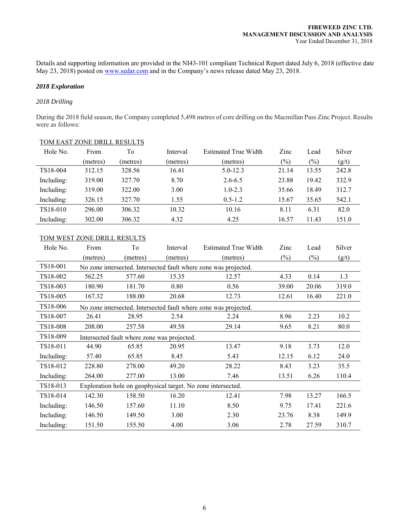Details and supporting information are provided in the NI43-101 compliant Technical Report dated July 6, 2018 (effective date May 23, 2018) posted on www.sedar.com and in the Company's news release dated May 23, 2018.

## *2018 Exploration*

#### *2018 Drilling*

During the 2018 field season, the Company completed 5,498 metres of core drilling on the Macmillan Pass Zinc Project. Results were as follows:

| Hole No.   | From     | To       | Interval | Estimated True Width | Zinc   | Lead   | Silver |
|------------|----------|----------|----------|----------------------|--------|--------|--------|
|            | (metres) | (metres) | (metres) | (metres)             | $(\%)$ | $(\%)$ | (g/t)  |
| TS18-004   | 312.15   | 328.56   | 16.41    | $5.0 - 12.3$         | 21.14  | 13.55  | 242.8  |
| Including: | 319.00   | 327.70   | 8.70     | $2.6 - 6.5$          | 23.88  | 19.42  | 332.9  |
| Including: | 319.00   | 322.00   | 3.00     | $1.0 - 2.3$          | 35.66  | 18.49  | 312.7  |
| Including: | 326.15   | 327.70   | 1.55     | $0.5 - 1.2$          | 15.67  | 35.65  | 542.1  |
| TS18-010   | 296.00   | 306.32   | 10.32    | 10.16                | 8.11   | 6.31   | 82.0   |
| Including: | 302.00   | 306.32   | 4.32     | 4.25                 | 16.57  | 11.43  | 151.0  |

# TOM EAST ZONE DRILL RESULTS

# TOM WEST ZONE DRILL RESULTS

| Hole No.   | From                                                         | To       | Interval | <b>Estimated True Width</b>                                      | Zinc   | Lead   | Silver |
|------------|--------------------------------------------------------------|----------|----------|------------------------------------------------------------------|--------|--------|--------|
|            | (metres)                                                     | (metres) | (metres) | (metres)                                                         | $(\%)$ | $(\%)$ | (g/t)  |
| TS18-001   |                                                              |          |          | No zone intersected. Intersected fault where zone was projected. |        |        |        |
| TS18-002   | 562.25                                                       | 577.60   | 15.35    | 12.57                                                            | 4.33   | 0.14   | 1.3    |
| TS18-003   | 180.90                                                       | 181.70   | 0.80     | 0.56                                                             | 39.00  | 20.06  | 319.0  |
| TS18-005   | 167.32                                                       | 188.00   | 20.68    | 12.73                                                            | 12.61  | 16.40  | 221.0  |
| TS18-006   |                                                              |          |          | No zone intersected. Intersected fault where zone was projected. |        |        |        |
| TS18-007   | 26.41                                                        | 28.95    | 2.54     | 2.24                                                             | 8.96   | 2.23   | 10.2   |
| TS18-008   | 208.00                                                       | 257.58   | 49.58    | 29.14                                                            | 9.65   | 8.21   | 80.0   |
| TS18-009   | Intersected fault where zone was projected.                  |          |          |                                                                  |        |        |        |
| TS18-011   | 44.90                                                        | 65.85    | 20.95    | 13.47                                                            | 9.18   | 3.73   | 12.0   |
| Including: | 57.40                                                        | 65.85    | 8.45     | 5.43                                                             | 12.15  | 6.12   | 24.0   |
| TS18-012   | 228.80                                                       | 278.00   | 49.20    | 28.22                                                            | 8.43   | 3.23   | 35.5   |
| Including: | 264.00                                                       | 277.00   | 13.00    | 7.46                                                             | 13.51  | 6.26   | 110.4  |
| TS18-013   | Exploration hole on geophysical target. No zone intersected. |          |          |                                                                  |        |        |        |
| TS18-014   | 142.30                                                       | 158.50   | 16.20    | 12.41                                                            | 7.98   | 13.27  | 166.5  |
| Including: | 146.50                                                       | 157.60   | 11.10    | 8.50                                                             | 9.75   | 17.41  | 221.6  |
| Including: | 146.50                                                       | 149.50   | 3.00     | 2.30                                                             | 23.76  | 8.38   | 149.9  |
| Including: | 151.50                                                       | 155.50   | 4.00     | 3.06                                                             | 2.78   | 27.59  | 310.7  |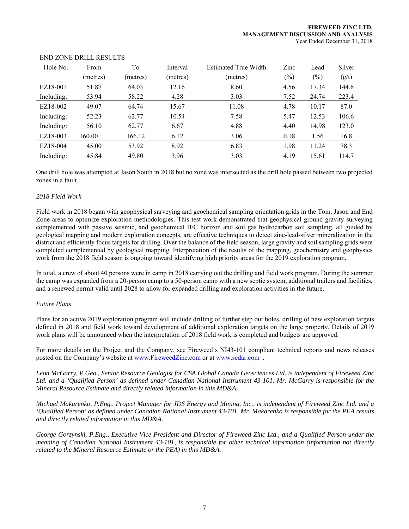| Hole No.   | From     | To       | Interval | Estimated True Width | Zinc   | Lead  | Silver |
|------------|----------|----------|----------|----------------------|--------|-------|--------|
|            | (metres) | (metres) | (metres) | (metres)             | $(\%)$ | (%)   | (g/t)  |
| EZ18-001   | 51.87    | 64.03    | 12.16    | 8.60                 | 4.56   | 17.34 | 144.6  |
| Including: | 53.94    | 58.22    | 4.28     | 3.03                 | 7.52   | 24.74 | 223.4  |
| EZ18-002   | 49.07    | 64.74    | 15.67    | 11.08                | 4.78   | 10.17 | 87.0   |
| Including: | 52.23    | 62.77    | 10.54    | 7.58                 | 5.47   | 12.53 | 106.6  |
| Including: | 56.10    | 62.77    | 6.67     | 4.88                 | 4.40   | 14.98 | 123.0  |
| EZ18-003   | 160.00   | 166.12   | 6.12     | 3.06                 | 0.18   | 1.56  | 16.8   |
| EZ18-004   | 45.00    | 53.92    | 8.92     | 6.83                 | 1.98   | 11.24 | 78.3   |
| Including: | 45.84    | 49.80    | 3.96     | 3.03                 | 4.19   | 15.61 | 114.7  |

#### END ZONE DRILL RESULTS

One drill hole was attempted at Jason South in 2018 but no zone was intersected as the drill hole passed between two projected zones in a fault.

# *2018 Field Work*

Field work in 2018 began with geophysical surveying and geochemical sampling orientation grids in the Tom, Jason and End Zone areas to optimize exploration methodologies. This test work demonstrated that geophysical ground gravity surveying complemented with passive seismic, and geochemical B/C horizon and soil gas hydrocarbon soil sampling, all guided by geological mapping and modern exploration concepts, are effective techniques to detect zinc-lead-silver mineralization in the district and efficiently focus targets for drilling. Over the balance of the field season, large gravity and soil sampling grids were completed complemented by geological mapping. Interpretation of the results of the mapping, geochemistry and geophysics work from the 2018 field season is ongoing toward identifying high priority areas for the 2019 exploration program.

In total, a crew of about 40 persons were in camp in 2018 carrying out the drilling and field work program. During the summer the camp was expanded from a 20-person camp to a 50-person camp with a new septic system, additional trailers and facilities, and a renewed permit valid until 2028 to allow for expanded drilling and exploration activities in the future.

#### *Future Plans*

Plans for an active 2019 exploration program will include drilling of further step out holes, drilling of new exploration targets defined in 2018 and field work toward development of additional exploration targets on the large property. Details of 2019 work plans will be announced when the interpretation of 2018 field work is completed and budgets are approved.

For more details on the Project and the Company, see Fireweed's NI43-101 compliant technical reports and news releases posted on the Company's website at www.FireweedZinc.com or at www.sedar.com .

*Leon McGarry, P.Geo., Senior Resource Geologist for CSA Global Canada Geosciences Ltd. is independent of Fireweed Zinc Ltd. and a 'Qualified Person' as defined under Canadian National Instrument 43-101. Mr. McGarry is responsible for the Mineral Resource Estimate and directly related information in this MD&A.* 

*Michael Makarenko, P.Eng., Project Manager for JDS Energy and Mining, Inc., is independent of Fireweed Zinc Ltd. and a 'Qualified Person' as defined under Canadian National Instrument 43-101. Mr. Makarenko is responsible for the PEA results and directly related information in this MD&A.* 

*George Gorzynski, P.Eng., Executive Vice President and Director of Fireweed Zinc Ltd., and a Qualified Person under the meaning of Canadian National Instrument 43-101, is responsible for other technical information (information not directly related to the Mineral Resource Estimate or the PEA) in this MD&A.*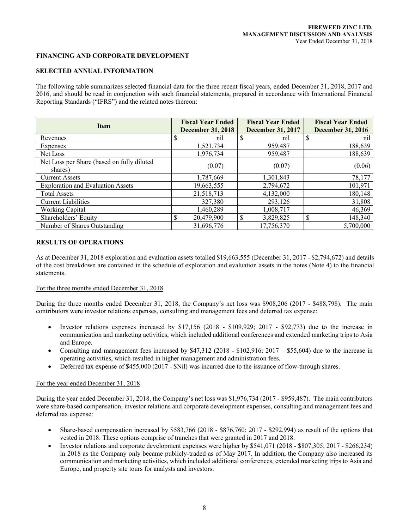# **FINANCING AND CORPORATE DEVELOPMENT**

#### **SELECTED ANNUAL INFORMATION**

The following table summarizes selected financial data for the three recent fiscal years, ended December 31, 2018, 2017 and 2016, and should be read in conjunction with such financial statements, prepared in accordance with International Financial Reporting Standards ("IFRS") and the related notes thereon:

| <b>Item</b>                                           | <b>Fiscal Year Ended</b><br><b>December 31, 2018</b> | <b>Fiscal Year Ended</b><br><b>December 31, 2017</b> | <b>Fiscal Year Ended</b><br><b>December 31, 2016</b> |
|-------------------------------------------------------|------------------------------------------------------|------------------------------------------------------|------------------------------------------------------|
| Revenues                                              | nil                                                  | nil                                                  | nil                                                  |
| Expenses                                              | 1,521,734                                            | 959,487                                              | 188,639                                              |
| Net Loss                                              | 1,976,734                                            | 959,487                                              | 188,639                                              |
| Net Loss per Share (based on fully diluted<br>shares) | (0.07)                                               | (0.07)                                               | (0.06)                                               |
| <b>Current Assets</b>                                 | 1,787,669                                            | 1,301,843                                            | 78,177                                               |
| <b>Exploration and Evaluation Assets</b>              | 19,663,555                                           | 2,794,672                                            | 101,971                                              |
| <b>Total Assets</b>                                   | 21,518,713                                           | 4,132,000                                            | 180,148                                              |
| <b>Current Liabilities</b>                            | 327,380                                              | 293,126                                              | 31,808                                               |
| Working Capital                                       | 1,460,289                                            | 1,008,717                                            | 46,369                                               |
| Shareholders' Equity                                  | \$<br>20,479,900                                     | 3,829,825                                            | 148,340<br>\$                                        |
| Number of Shares Outstanding                          | 31,696,776                                           | 17,756,370                                           | 5,700,000                                            |

# **RESULTS OF OPERATIONS**

As at December 31, 2018 exploration and evaluation assets totalled \$19,663,555 (December 31, 2017 - \$2,794,672) and details of the cost breakdown are contained in the schedule of exploration and evaluation assets in the notes (Note 4) to the financial statements.

#### For the three months ended December 31, 2018

During the three months ended December 31, 2018, the Company's net loss was \$908,206 (2017 - \$488,798). The main contributors were investor relations expenses, consulting and management fees and deferred tax expense:

- Investor relations expenses increased by \$17,156 (2018 \$109,929; 2017 \$92,773) due to the increase in communication and marketing activities, which included additional conferences and extended marketing trips to Asia and Europe.
- Consulting and management fees increased by  $$47,312$  (2018  $$102,916$ : 2017  $$55,604$ ) due to the increase in operating activities, which resulted in higher management and administration fees**.**
- Deferred tax expense of \$455,000 (2017 \$Nil) was incurred due to the issuance of flow-through shares.

#### For the year ended December 31, 2018

During the year ended December 31, 2018, the Company's net loss was \$1,976,734 (2017 - \$959,487). The main contributors were share-based compensation, investor relations and corporate development expenses, consulting and management fees and deferred tax expense:

- Share-based compensation increased by \$583,766 (2018 \$876,760: 2017 \$292,994) as result of the options that vested in 2018. These options comprise of tranches that were granted in 2017 and 2018.
- Investor relations and corporate development expenses were higher by \$541,071 (2018 \$807,305; 2017 \$266,234) in 2018 as the Company only became publicly-traded as of May 2017. In addition, the Company also increased its communication and marketing activities, which included additional conferences, extended marketing trips to Asia and Europe, and property site tours for analysts and investors.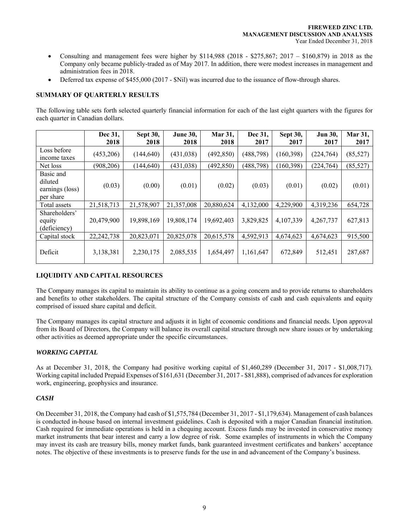- Consulting and management fees were higher by  $$114,988$  (2018  $$275,867$ ; 2017  $$160,879$ ) in 2018 as the Company only became publicly-traded as of May 2017. In addition, there were modest increases in management and administration fees in 2018.
- Deferred tax expense of \$455,000 (2017 \$Nil) was incurred due to the issuance of flow-through shares.

# **SUMMARY OF QUARTERLY RESULTS**

The following table sets forth selected quarterly financial information for each of the last eight quarters with the figures for each quarter in Canadian dollars.

|                 | Dec 31,<br>2018 | Sept 30,   | <b>June 30,</b><br>2018 | Mar 31,<br>2018 | Dec 31,<br>2017 | Sept 30,   | <b>Jun 30,</b> | Mar 31,<br>2017 |
|-----------------|-----------------|------------|-------------------------|-----------------|-----------------|------------|----------------|-----------------|
|                 |                 | 2018       |                         |                 |                 | 2017       | 2017           |                 |
| Loss before     | (453,206)       | (144, 640) | (431, 038)              | (492, 850)      | (488, 798)      | (160, 398) | (224, 764)     | (85, 527)       |
| income taxes    |                 |            |                         |                 |                 |            |                |                 |
| Net loss        | (908, 206)      | (144, 640) | (431, 038)              | (492, 850)      | (488, 798)      | (160, 398) | (224, 764)     | (85, 527)       |
| Basic and       |                 |            |                         |                 |                 |            |                |                 |
| diluted         |                 |            |                         |                 |                 |            |                |                 |
| earnings (loss) | (0.03)          | (0.00)     | (0.01)                  | (0.02)          | (0.03)          | (0.01)     | (0.02)         | (0.01)          |
| per share       |                 |            |                         |                 |                 |            |                |                 |
| Total assets    | 21,518,713      | 21,578,907 | 21,357,008              | 20,880,624      | 4,132,000       | 4,229,900  | 4,319,236      | 654,728         |
| Shareholders'   |                 |            |                         |                 |                 |            |                |                 |
| equity          | 20,479,900      | 19,898,169 | 19,808,174              | 19,692,403      | 3,829,825       | 4,107,339  | 4,267,737      | 627,813         |
| (deficiency)    |                 |            |                         |                 |                 |            |                |                 |
| Capital stock   | 22, 242, 738    | 20,823,071 | 20,825,078              | 20,615,578      | 4,592,913       | 4,674,623  | 4,674,623      | 915,500         |
|                 |                 |            |                         |                 |                 |            |                |                 |
| Deficit         | 3,138,381       | 2,230,175  | 2,085,535               | 1,654,497       | 1,161,647       | 672,849    | 512,451        | 287,687         |
|                 |                 |            |                         |                 |                 |            |                |                 |

# **LIQUIDITY AND CAPITAL RESOURCES**

The Company manages its capital to maintain its ability to continue as a going concern and to provide returns to shareholders and benefits to other stakeholders. The capital structure of the Company consists of cash and cash equivalents and equity comprised of issued share capital and deficit.

The Company manages its capital structure and adjusts it in light of economic conditions and financial needs. Upon approval from its Board of Directors, the Company will balance its overall capital structure through new share issues or by undertaking other activities as deemed appropriate under the specific circumstances.

# *WORKING CAPITAL*

As at December 31, 2018, the Company had positive working capital of \$1,460,289 (December 31, 2017 - \$1,008,717). Working capital included Prepaid Expenses of \$161,631 (December 31, 2017 - \$81,888), comprised of advances for exploration work, engineering, geophysics and insurance.

# *CASH*

On December 31, 2018, the Company had cash of \$1,575,784 (December 31, 2017 - \$1,179,634). Management of cash balances is conducted in-house based on internal investment guidelines. Cash is deposited with a major Canadian financial institution. Cash required for immediate operations is held in a chequing account. Excess funds may be invested in conservative money market instruments that bear interest and carry a low degree of risk. Some examples of instruments in which the Company may invest its cash are treasury bills, money market funds, bank guaranteed investment certificates and bankers' acceptance notes. The objective of these investments is to preserve funds for the use in and advancement of the Company's business.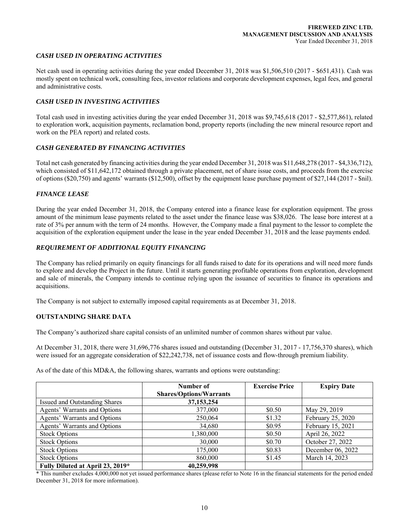## *CASH USED IN OPERATING ACTIVITIES*

Net cash used in operating activities during the year ended December 31, 2018 was \$1,506,510 (2017 - \$651,431). Cash was mostly spent on technical work, consulting fees, investor relations and corporate development expenses, legal fees, and general and administrative costs.

#### *CASH USED IN INVESTING ACTIVITIES*

Total cash used in investing activities during the year ended December 31, 2018 was \$9,745,618 (2017 - \$2,577,861), related to exploration work, acquisition payments, reclamation bond, property reports (including the new mineral resource report and work on the PEA report) and related costs.

## *CASH GENERATED BY FINANCING ACTIVITIES*

Total net cash generated by financing activities during the year ended December 31, 2018 was \$11,648,278 (2017 - \$4,336,712), which consisted of \$11,642,172 obtained through a private placement, net of share issue costs, and proceeds from the exercise of options (\$20,750) and agents' warrants (\$12,500), offset by the equipment lease purchase payment of \$27,144 (2017 - \$nil).

## *FINANCE LEASE*

During the year ended December 31, 2018, the Company entered into a finance lease for exploration equipment. The gross amount of the minimum lease payments related to the asset under the finance lease was \$38,026. The lease bore interest at a rate of 3% per annum with the term of 24 months. However, the Company made a final payment to the lessor to complete the acquisition of the exploration equipment under the lease in the year ended December 31, 2018 and the lease payments ended.

# *REQUIREMENT OF ADDITIONAL EQUITY FINANCING*

The Company has relied primarily on equity financings for all funds raised to date for its operations and will need more funds to explore and develop the Project in the future. Until it starts generating profitable operations from exploration, development and sale of minerals, the Company intends to continue relying upon the issuance of securities to finance its operations and acquisitions.

The Company is not subject to externally imposed capital requirements as at December 31, 2018.

#### **OUTSTANDING SHARE DATA**

The Company's authorized share capital consists of an unlimited number of common shares without par value.

At December 31, 2018, there were 31,696,776 shares issued and outstanding (December 31, 2017 - 17,756,370 shares), which were issued for an aggregate consideration of \$22,242,738, net of issuance costs and flow-through premium liability.

As of the date of this MD&A, the following shares, warrants and options were outstanding:

|                                  | Number of                      | <b>Exercise Price</b> | <b>Expiry Date</b> |
|----------------------------------|--------------------------------|-----------------------|--------------------|
|                                  | <b>Shares/Options/Warrants</b> |                       |                    |
| Issued and Outstanding Shares    | 37, 153, 254                   |                       |                    |
| Agents' Warrants and Options     | 377,000                        | \$0.50                | May 29, 2019       |
| Agents' Warrants and Options     | 250,064                        | \$1.32                | February 25, 2020  |
| Agents' Warrants and Options     | 34,680                         | \$0.95                | February 15, 2021  |
| <b>Stock Options</b>             | 1,380,000                      | \$0.50                | April 26, 2022     |
| <b>Stock Options</b>             | 30,000                         | \$0.70                | October 27, 2022   |
| <b>Stock Options</b>             | 175,000                        | \$0.83                | December 06, 2022  |
| <b>Stock Options</b>             | 860,000                        | \$1.45                | March 14, 2023     |
| Fully Diluted at April 23, 2019* | 40,259,998                     |                       |                    |

\* This number excludes 4,000,000 not yet issued performance shares (please refer to Note 16 in the financial statements for the period ended December 31, 2018 for more information).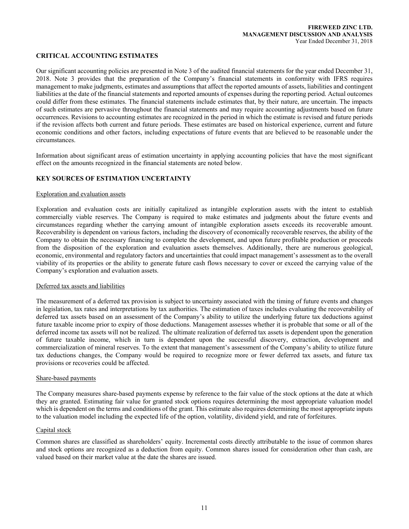## **CRITICAL ACCOUNTING ESTIMATES**

Our significant accounting policies are presented in Note 3 of the audited financial statements for the year ended December 31, 2018. Note 3 provides that the preparation of the Company's financial statements in conformity with IFRS requires management to make judgments, estimates and assumptions that affect the reported amounts of assets, liabilities and contingent liabilities at the date of the financial statements and reported amounts of expenses during the reporting period. Actual outcomes could differ from these estimates. The financial statements include estimates that, by their nature, are uncertain. The impacts of such estimates are pervasive throughout the financial statements and may require accounting adjustments based on future occurrences. Revisions to accounting estimates are recognized in the period in which the estimate is revised and future periods if the revision affects both current and future periods. These estimates are based on historical experience, current and future economic conditions and other factors, including expectations of future events that are believed to be reasonable under the circumstances.

Information about significant areas of estimation uncertainty in applying accounting policies that have the most significant effect on the amounts recognized in the financial statements are noted below.

# **KEY SOURCES OF ESTIMATION UNCERTAINTY**

#### Exploration and evaluation assets

Exploration and evaluation costs are initially capitalized as intangible exploration assets with the intent to establish commercially viable reserves. The Company is required to make estimates and judgments about the future events and circumstances regarding whether the carrying amount of intangible exploration assets exceeds its recoverable amount. Recoverability is dependent on various factors, including the discovery of economically recoverable reserves, the ability of the Company to obtain the necessary financing to complete the development, and upon future profitable production or proceeds from the disposition of the exploration and evaluation assets themselves. Additionally, there are numerous geological, economic, environmental and regulatory factors and uncertainties that could impact management's assessment as to the overall viability of its properties or the ability to generate future cash flows necessary to cover or exceed the carrying value of the Company's exploration and evaluation assets.

#### Deferred tax assets and liabilities

The measurement of a deferred tax provision is subject to uncertainty associated with the timing of future events and changes in legislation, tax rates and interpretations by tax authorities. The estimation of taxes includes evaluating the recoverability of deferred tax assets based on an assessment of the Company's ability to utilize the underlying future tax deductions against future taxable income prior to expiry of those deductions. Management assesses whether it is probable that some or all of the deferred income tax assets will not be realized. The ultimate realization of deferred tax assets is dependent upon the generation of future taxable income, which in turn is dependent upon the successful discovery, extraction, development and commercialization of mineral reserves. To the extent that management's assessment of the Company's ability to utilize future tax deductions changes, the Company would be required to recognize more or fewer deferred tax assets, and future tax provisions or recoveries could be affected.

#### Share-based payments

The Company measures share-based payments expense by reference to the fair value of the stock options at the date at which they are granted. Estimating fair value for granted stock options requires determining the most appropriate valuation model which is dependent on the terms and conditions of the grant. This estimate also requires determining the most appropriate inputs to the valuation model including the expected life of the option, volatility, dividend yield, and rate of forfeitures.

#### Capital stock

Common shares are classified as shareholders' equity. Incremental costs directly attributable to the issue of common shares and stock options are recognized as a deduction from equity. Common shares issued for consideration other than cash, are valued based on their market value at the date the shares are issued.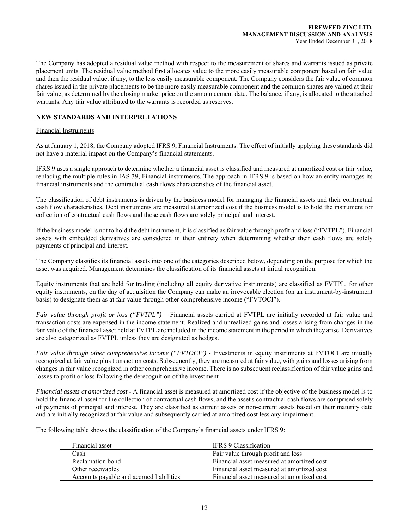The Company has adopted a residual value method with respect to the measurement of shares and warrants issued as private placement units. The residual value method first allocates value to the more easily measurable component based on fair value and then the residual value, if any, to the less easily measurable component. The Company considers the fair value of common shares issued in the private placements to be the more easily measurable component and the common shares are valued at their fair value, as determined by the closing market price on the announcement date. The balance, if any, is allocated to the attached warrants. Any fair value attributed to the warrants is recorded as reserves.

# **NEW STANDARDS AND INTERPRETATIONS**

### Financial Instruments

As at January 1, 2018, the Company adopted IFRS 9, Financial Instruments. The effect of initially applying these standards did not have a material impact on the Company's financial statements.

IFRS 9 uses a single approach to determine whether a financial asset is classified and measured at amortized cost or fair value, replacing the multiple rules in IAS 39, Financial instruments. The approach in IFRS 9 is based on how an entity manages its financial instruments and the contractual cash flows characteristics of the financial asset.

The classification of debt instruments is driven by the business model for managing the financial assets and their contractual cash flow characteristics. Debt instruments are measured at amortized cost if the business model is to hold the instrument for collection of contractual cash flows and those cash flows are solely principal and interest.

If the business model is not to hold the debt instrument, it is classified as fair value through profit and loss ("FVTPL"). Financial assets with embedded derivatives are considered in their entirety when determining whether their cash flows are solely payments of principal and interest.

The Company classifies its financial assets into one of the categories described below, depending on the purpose for which the asset was acquired. Management determines the classification of its financial assets at initial recognition.

Equity instruments that are held for trading (including all equity derivative instruments) are classified as FVTPL, for other equity instruments, on the day of acquisition the Company can make an irrevocable election (on an instrument-by-instrument basis) to designate them as at fair value through other comprehensive income ("FVTOCI").

*Fair value through profit or loss ("FVTPL")* – Financial assets carried at FVTPL are initially recorded at fair value and transaction costs are expensed in the income statement. Realized and unrealized gains and losses arising from changes in the fair value of the financial asset held at FVTPL are included in the income statement in the period in which they arise. Derivatives are also categorized as FVTPL unless they are designated as hedges.

*Fair value through other comprehensive income ("FVTOCI")* - Investments in equity instruments at FVTOCI are initially recognized at fair value plus transaction costs. Subsequently, they are measured at fair value, with gains and losses arising from changes in fair value recognized in other comprehensive income. There is no subsequent reclassification of fair value gains and losses to profit or loss following the derecognition of the investment

*Financial assets at amortized cost* - A financial asset is measured at amortized cost if the objective of the business model is to hold the financial asset for the collection of contractual cash flows, and the asset's contractual cash flows are comprised solely of payments of principal and interest. They are classified as current assets or non-current assets based on their maturity date and are initially recognized at fair value and subsequently carried at amortized cost less any impairment.

The following table shows the classification of the Company's financial assets under IFRS 9:

| Financial asset                          | <b>IFRS 9 Classification</b>               |
|------------------------------------------|--------------------------------------------|
| Cash                                     | Fair value through profit and loss         |
| Reclamation bond                         | Financial asset measured at amortized cost |
| Other receivables                        | Financial asset measured at amortized cost |
| Accounts payable and accrued liabilities | Financial asset measured at amortized cost |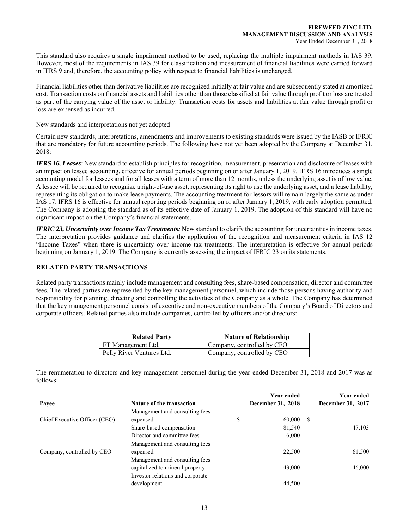This standard also requires a single impairment method to be used, replacing the multiple impairment methods in IAS 39. However, most of the requirements in IAS 39 for classification and measurement of financial liabilities were carried forward in IFRS 9 and, therefore, the accounting policy with respect to financial liabilities is unchanged.

Financial liabilities other than derivative liabilities are recognized initially at fair value and are subsequently stated at amortized cost. Transaction costs on financial assets and liabilities other than those classified at fair value through profit or loss are treated as part of the carrying value of the asset or liability. Transaction costs for assets and liabilities at fair value through profit or loss are expensed as incurred.

#### New standards and interpretations not yet adopted

Certain new standards, interpretations, amendments and improvements to existing standards were issued by the IASB or IFRIC that are mandatory for future accounting periods. The following have not yet been adopted by the Company at December 31, 2018:

*IFRS 16, Leases*: New standard to establish principles for recognition, measurement, presentation and disclosure of leases with an impact on lessee accounting, effective for annual periods beginning on or after January 1, 2019. IFRS 16 introduces a single accounting model for lessees and for all leases with a term of more than 12 months, unless the underlying asset is of low value. A lessee will be required to recognize a right-of-use asset, representing its right to use the underlying asset, and a lease liability, representing its obligation to make lease payments. The accounting treatment for lessors will remain largely the same as under IAS 17. IFRS 16 is effective for annual reporting periods beginning on or after January 1, 2019, with early adoption permitted. The Company is adopting the standard as of its effective date of January 1, 2019. The adoption of this standard will have no significant impact on the Company's financial statements.

*IFRIC 23, Uncertainty over Income Tax Treatments:* New standard to clarify the accounting for uncertainties in income taxes. The interpretation provides guidance and clarifies the application of the recognition and measurement criteria in IAS 12 "Income Taxes" when there is uncertainty over income tax treatments. The interpretation is effective for annual periods beginning on January 1, 2019. The Company is currently assessing the impact of IFRIC 23 on its statements.

## **RELATED PARTY TRANSACTIONS**

Related party transactions mainly include management and consulting fees, share-based compensation, director and committee fees. The related parties are represented by the key management personnel, which include those persons having authority and responsibility for planning, directing and controlling the activities of the Company as a whole. The Company has determined that the key management personnel consist of executive and non-executive members of the Company's Board of Directors and corporate officers. Related parties also include companies, controlled by officers and/or directors:

| <b>Related Party</b>      | <b>Nature of Relationship</b> |
|---------------------------|-------------------------------|
| FT Management Ltd.        | Company, controlled by CFO    |
| Pelly River Ventures Ltd. | Company, controlled by CEO    |

The renumeration to directors and key management personnel during the year ended December 31, 2018 and 2017 was as follows:

|                               |                                  | <b>Year ended</b> |   | <b>Year ended</b> |
|-------------------------------|----------------------------------|-------------------|---|-------------------|
| Payee                         | <b>Nature of the transaction</b> | December 31, 2018 |   | December 31, 2017 |
|                               | Management and consulting fees   |                   |   |                   |
| Chief Executive Officer (CEO) | expensed                         | \$<br>60,000      | S |                   |
|                               | Share-based compensation         | 81,540            |   | 47,103            |
|                               | Director and committee fees      | 6,000             |   |                   |
| Company, controlled by CEO    | Management and consulting fees   |                   |   |                   |
|                               | expensed                         | 22,500            |   | 61,500            |
|                               | Management and consulting fees   |                   |   |                   |
|                               | capitalized to mineral property  | 43,000            |   | 46,000            |
|                               | Investor relations and corporate |                   |   |                   |
|                               | development                      | 44,500            |   |                   |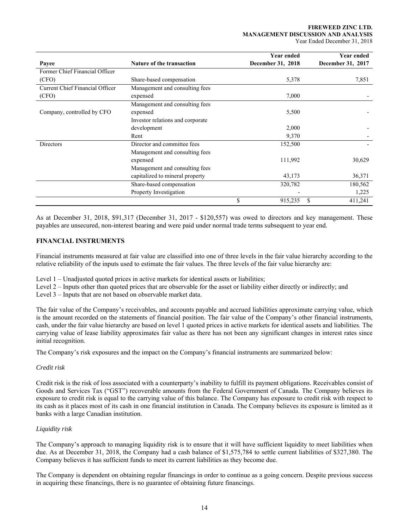#### **FIREWEED ZINC LTD. MANAGEMENT DISCUSSION AND ANALYSIS**  Year Ended December 31, 2018

|                                 |                                  | Year ended        | <b>Year ended</b> |  |
|---------------------------------|----------------------------------|-------------------|-------------------|--|
| Payee                           | <b>Nature of the transaction</b> | December 31, 2018 | December 31, 2017 |  |
| Former Chief Financial Officer  |                                  |                   |                   |  |
| (CFO)                           | Share-based compensation         | 5,378             | 7,851             |  |
| Current Chief Financial Officer | Management and consulting fees   |                   |                   |  |
| (CFO)                           | expensed                         | 7,000             |                   |  |
|                                 | Management and consulting fees   |                   |                   |  |
| Company, controlled by CFO      | expensed                         | 5,500             |                   |  |
|                                 | Investor relations and corporate |                   |                   |  |
|                                 | development                      | 2,000             |                   |  |
|                                 | Rent                             | 9,370             |                   |  |
| <b>Directors</b>                | Director and committee fees      | 152,500           |                   |  |
|                                 | Management and consulting fees   |                   |                   |  |
|                                 | expensed                         | 111,992           | 30,629            |  |
|                                 | Management and consulting fees   |                   |                   |  |
|                                 | capitalized to mineral property  | 43,173            | 36,371            |  |
|                                 | Share-based compensation         | 320,782           | 180,562           |  |
|                                 | Property Investigation           |                   | 1,225             |  |
|                                 |                                  | \$<br>915,235     | S<br>411,241      |  |

As at December 31, 2018, \$91,317 (December 31, 2017 - \$120,557) was owed to directors and key management. These payables are unsecured, non-interest bearing and were paid under normal trade terms subsequent to year end.

# **FINANCIAL INSTRUMENTS**

Financial instruments measured at fair value are classified into one of three levels in the fair value hierarchy according to the relative reliability of the inputs used to estimate the fair values. The three levels of the fair value hierarchy are:

Level 1 – Unadjusted quoted prices in active markets for identical assets or liabilities;

Level 2 – Inputs other than quoted prices that are observable for the asset or liability either directly or indirectly; and

Level 3 – Inputs that are not based on observable market data.

The fair value of the Company's receivables, and accounts payable and accrued liabilities approximate carrying value, which is the amount recorded on the statements of financial position. The fair value of the Company's other financial instruments, cash, under the fair value hierarchy are based on level 1 quoted prices in active markets for identical assets and liabilities. The carrying value of lease liability approximates fair value as there has not been any significant changes in interest rates since initial recognition.

The Company's risk exposures and the impact on the Company's financial instruments are summarized below:

# *Credit risk*

Credit risk is the risk of loss associated with a counterparty's inability to fulfill its payment obligations. Receivables consist of Goods and Services Tax ("GST") recoverable amounts from the Federal Government of Canada. The Company believes its exposure to credit risk is equal to the carrying value of this balance. The Company has exposure to credit risk with respect to its cash as it places most of its cash in one financial institution in Canada. The Company believes its exposure is limited as it banks with a large Canadian institution.

# *Liquidity risk*

The Company's approach to managing liquidity risk is to ensure that it will have sufficient liquidity to meet liabilities when due. As at December 31, 2018, the Company had a cash balance of \$1,575,784 to settle current liabilities of \$327,380. The Company believes it has sufficient funds to meet its current liabilities as they become due.

The Company is dependent on obtaining regular financings in order to continue as a going concern. Despite previous success in acquiring these financings, there is no guarantee of obtaining future financings.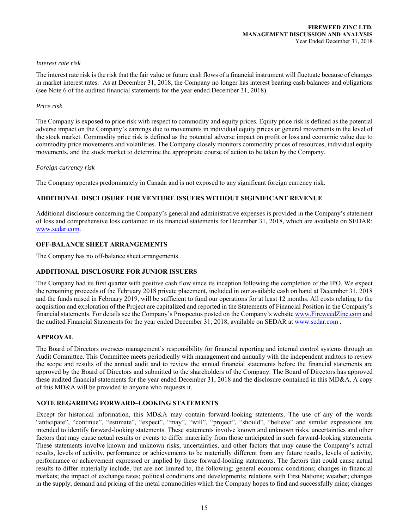### *Interest rate risk*

The interest rate risk is the risk that the fair value or future cash flows of a financial instrument will fluctuate because of changes in market interest rates. As at December 31, 2018, the Company no longer has interest bearing cash balances and obligations (see Note 6 of the audited financial statements for the year ended December 31, 2018).

## *Price risk*

The Company is exposed to price risk with respect to commodity and equity prices. Equity price risk is defined as the potential adverse impact on the Company's earnings due to movements in individual equity prices or general movements in the level of the stock market. Commodity price risk is defined as the potential adverse impact on profit or loss and economic value due to commodity price movements and volatilities. The Company closely monitors commodity prices of resources, individual equity movements, and the stock market to determine the appropriate course of action to be taken by the Company.

## *Foreign currency risk*

The Company operates predominately in Canada and is not exposed to any significant foreign currency risk.

# **ADDITIONAL DISCLOSURE FOR VENTURE ISSUERS WITHOUT SIGINIFICANT REVENUE**

Additional disclosure concerning the Company's general and administrative expenses is provided in the Company's statement of loss and comprehensive loss contained in its financial statements for December 31, 2018, which are available on SEDAR: www.sedar.com.

# **OFF-BALANCE SHEET ARRANGEMENTS**

The Company has no off-balance sheet arrangements.

# **ADDITIONAL DISCLOSURE FOR JUNIOR ISSUERS**

The Company had its first quarter with positive cash flow since its inception following the completion of the IPO. We expect the remaining proceeds of the February 2018 private placement, included in our available cash on hand at December 31, 2018 and the funds raised in February 2019, will be sufficient to fund our operations for at least 12 months. All costs relating to the acquisition and exploration of the Project are capitalized and reported in the Statements of Financial Position in the Company's financial statements. For details see the Company's Prospectus posted on the Company's website www.FireweedZinc.com and the audited Financial Statements for the year ended December 31, 2018, available on SEDAR at www.sedar.com .

# **APPROVAL**

The Board of Directors oversees management's responsibility for financial reporting and internal control systems through an Audit Committee. This Committee meets periodically with management and annually with the independent auditors to review the scope and results of the annual audit and to review the annual financial statements before the financial statements are approved by the Board of Directors and submitted to the shareholders of the Company. The Board of Directors has approved these audited financial statements for the year ended December 31, 2018 and the disclosure contained in this MD&A. A copy of this MD&A will be provided to anyone who requests it.

# **NOTE REGARDING FORWARD–LOOKING STATEMENTS**

Except for historical information, this MD&A may contain forward-looking statements. The use of any of the words "anticipate", "continue", "estimate", "expect", "may", "will", "project", "should", "believe" and similar expressions are intended to identify forward-looking statements. These statements involve known and unknown risks, uncertainties and other factors that may cause actual results or events to differ materially from those anticipated in such forward-looking statements. These statements involve known and unknown risks, uncertainties, and other factors that may cause the Company's actual results, levels of activity, performance or achievements to be materially different from any future results, levels of activity, performance or achievement expressed or implied by these forward-looking statements. The factors that could cause actual results to differ materially include, but are not limited to, the following: general economic conditions; changes in financial markets; the impact of exchange rates; political conditions and developments; relations with First Nations; weather; changes in the supply, demand and pricing of the metal commodities which the Company hopes to find and successfully mine; changes